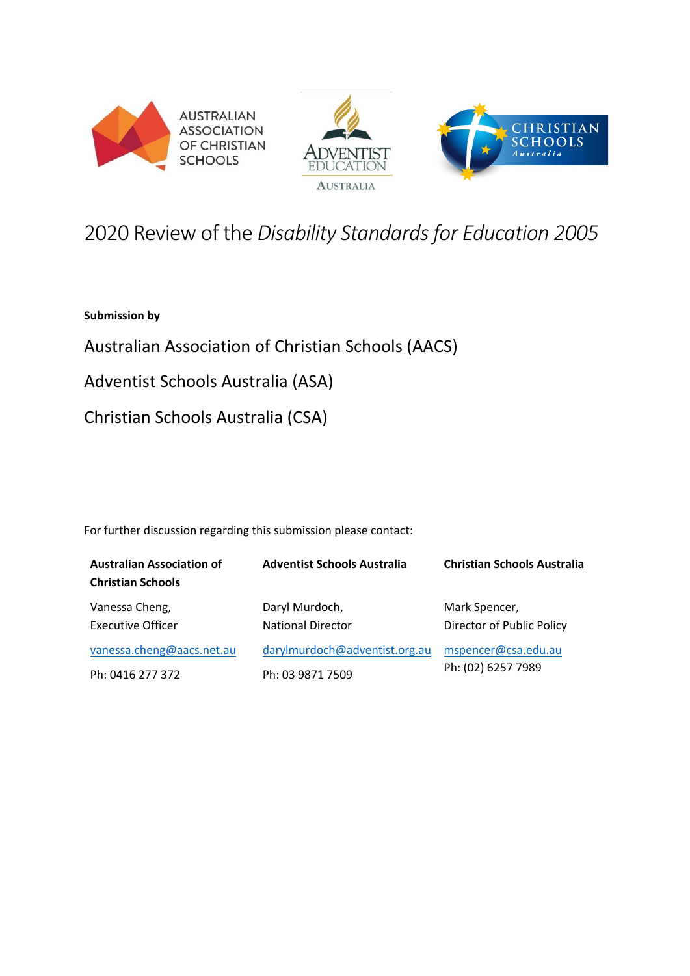





# 2020 Review of the *Disability Standards for Education 2005*

**Submission by**

Australian Association of Christian Schools (AACS)

Adventist Schools Australia (ASA)

Christian Schools Australia (CSA)

For further discussion regarding this submission please contact:

| <b>Australian Association of</b><br><b>Christian Schools</b> | <b>Adventist Schools Australia</b>         | <b>Christian Schools Australia</b>         |
|--------------------------------------------------------------|--------------------------------------------|--------------------------------------------|
| Vanessa Cheng,<br><b>Executive Officer</b>                   | Daryl Murdoch,<br><b>National Director</b> | Mark Spencer,<br>Director of Public Policy |
| vanessa.cheng@aacs.net.au                                    | darylmurdoch@adventist.org.au              | mspencer@csa.edu.au<br>Ph: (02) 6257 7989  |
| Ph: 0416 277 372                                             | Ph: 03 9871 7509                           |                                            |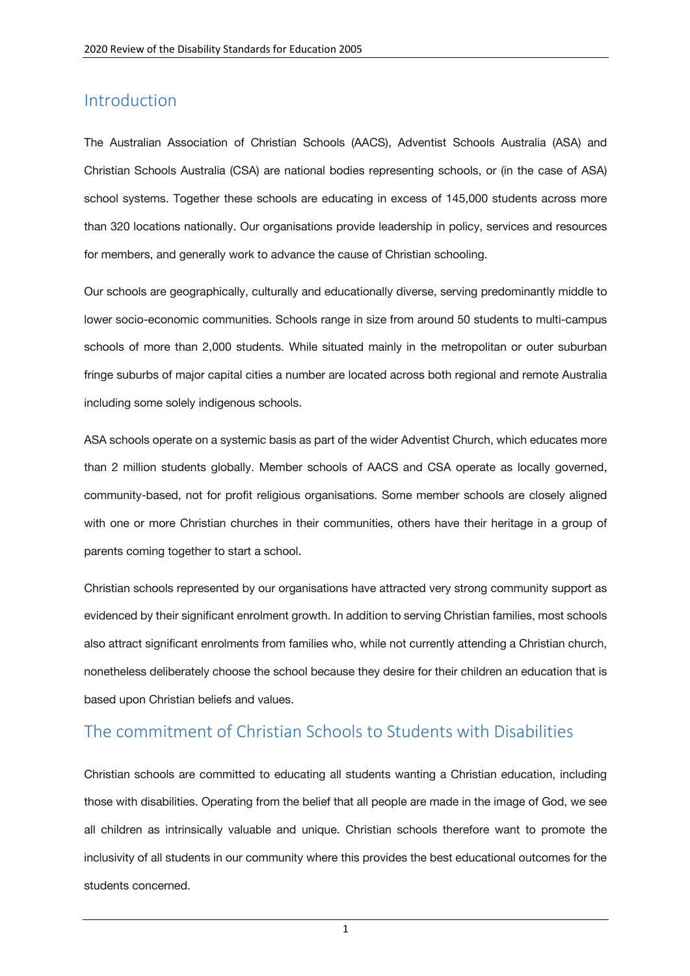### Introduction

The Australian Association of Christian Schools (AACS), Adventist Schools Australia (ASA) and Christian Schools Australia (CSA) are national bodies representing schools, or (in the case of ASA) school systems. Together these schools are educating in excess of 145,000 students across more than 320 locations nationally. Our organisations provide leadership in policy, services and resources for members, and generally work to advance the cause of Christian schooling.

Our schools are geographically, culturally and educationally diverse, serving predominantly middle to lower socio-economic communities. Schools range in size from around 50 students to multi-campus schools of more than 2,000 students. While situated mainly in the metropolitan or outer suburban fringe suburbs of major capital cities a number are located across both regional and remote Australia including some solely indigenous schools.

ASA schools operate on a systemic basis as part of the wider Adventist Church, which educates more than 2 million students globally. Member schools of AACS and CSA operate as locally governed, community-based, not for profit religious organisations. Some member schools are closely aligned with one or more Christian churches in their communities, others have their heritage in a group of parents coming together to start a school.

Christian schools represented by our organisations have attracted very strong community support as evidenced by their significant enrolment growth. In addition to serving Christian families, most schools also attract significant enrolments from families who, while not currently attending a Christian church, nonetheless deliberately choose the school because they desire for their children an education that is based upon Christian beliefs and values.

### The commitment of Christian Schools to Students with Disabilities

Christian schools are committed to educating all students wanting a Christian education, including those with disabilities. Operating from the belief that all people are made in the image of God, we see all children as intrinsically valuable and unique. Christian schools therefore want to promote the inclusivity of all students in our community where this provides the best educational outcomes for the students concerned.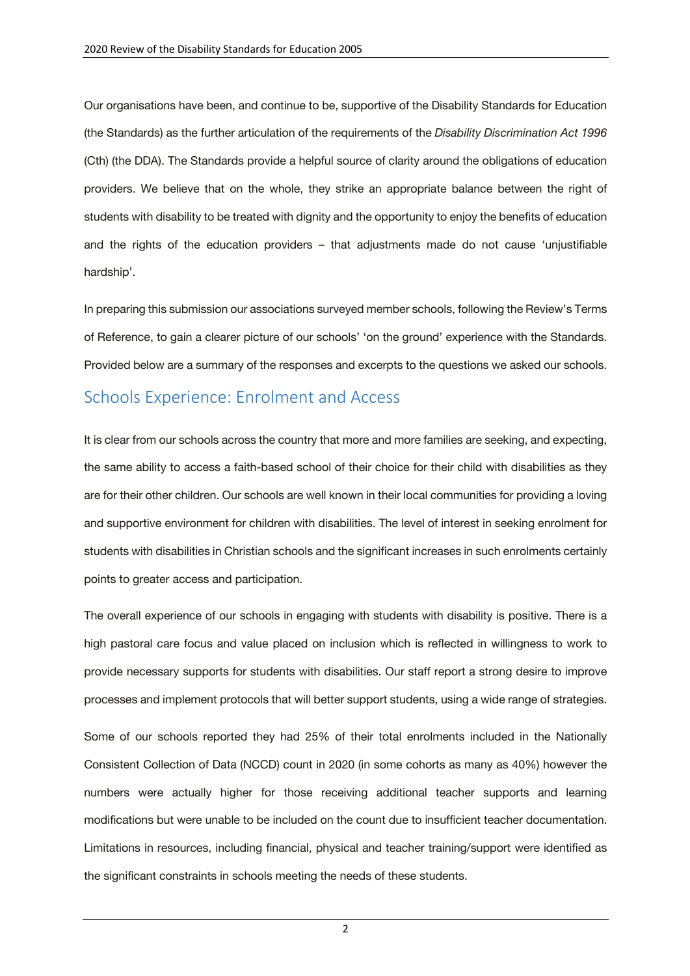Our organisations have been, and continue to be, supportive of the Disability Standards for Education (the Standards) as the further articulation of the requirements of the *Disability Discrimination Act 1996* (Cth) (the DDA). The Standards provide a helpful source of clarity around the obligations of education providers. We believe that on the whole, they strike an appropriate balance between the right of students with disability to be treated with dignity and the opportunity to enjoy the benefits of education and the rights of the education providers – that adjustments made do not cause 'unjustifiable hardship'.

In preparing this submission our associations surveyed member schools, following the Review's Terms of Reference, to gain a clearer picture of our schools' 'on the ground' experience with the Standards. Provided below are a summary of the responses and excerpts to the questions we asked our schools.

#### Schools Experience: Enrolment and Access

It is clear from our schools across the country that more and more families are seeking, and expecting, the same ability to access a faith-based school of their choice for their child with disabilities as they are for their other children. Our schools are well known in their local communities for providing a loving and supportive environment for children with disabilities. The level of interest in seeking enrolment for students with disabilities in Christian schools and the significant increases in such enrolments certainly points to greater access and participation.

The overall experience of our schools in engaging with students with disability is positive. There is a high pastoral care focus and value placed on inclusion which is reflected in willingness to work to provide necessary supports for students with disabilities. Our staff report a strong desire to improve processes and implement protocols that will better support students, using a wide range of strategies.

Some of our schools reported they had 25% of their total enrolments included in the Nationally Consistent Collection of Data (NCCD) count in 2020 (in some cohorts as many as 40%) however the numbers were actually higher for those receiving additional teacher supports and learning modifications but were unable to be included on the count due to insufficient teacher documentation. Limitations in resources, including financial, physical and teacher training/support were identified as the significant constraints in schools meeting the needs of these students.

2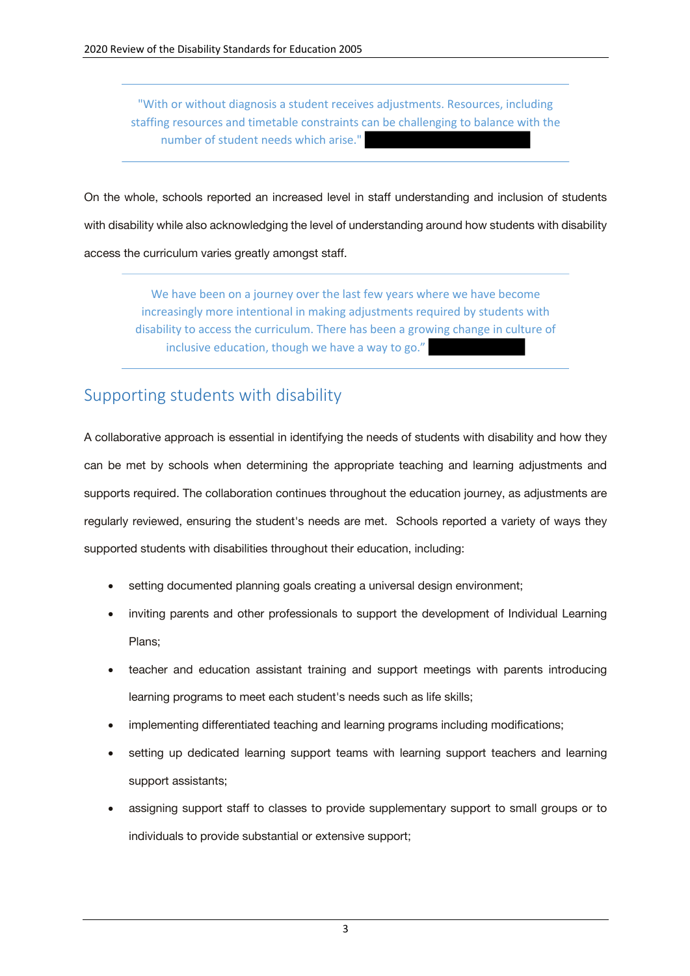"With or without diagnosis a student receives adjustments. Resources, including staffing resources and timetable constraints can be challenging to balance with the number of student needs which arise."

On the whole, schools reported an increased level in staff understanding and inclusion of students with disability while also acknowledging the level of understanding around how students with disability access the curriculum varies greatly amongst staff.

We have been on a journey over the last few years where we have become increasingly more intentional in making adjustments required by students with disability to access the curriculum. There has been a growing change in culture of inclusive education, though we have a way to go."

# Supporting students with disability

A collaborative approach is essential in identifying the needs of students with disability and how they can be met by schools when determining the appropriate teaching and learning adjustments and supports required. The collaboration continues throughout the education journey, as adjustments are regularly reviewed, ensuring the student's needs are met. Schools reported a variety of ways they supported students with disabilities throughout their education, including:

- setting documented planning goals creating a universal design environment;
- inviting parents and other professionals to support the development of Individual Learning Plans;
- teacher and education assistant training and support meetings with parents introducing learning programs to meet each student's needs such as life skills;
- implementing differentiated teaching and learning programs including modifications;
- setting up dedicated learning support teams with learning support teachers and learning support assistants;
- assigning support staff to classes to provide supplementary support to small groups or to individuals to provide substantial or extensive support;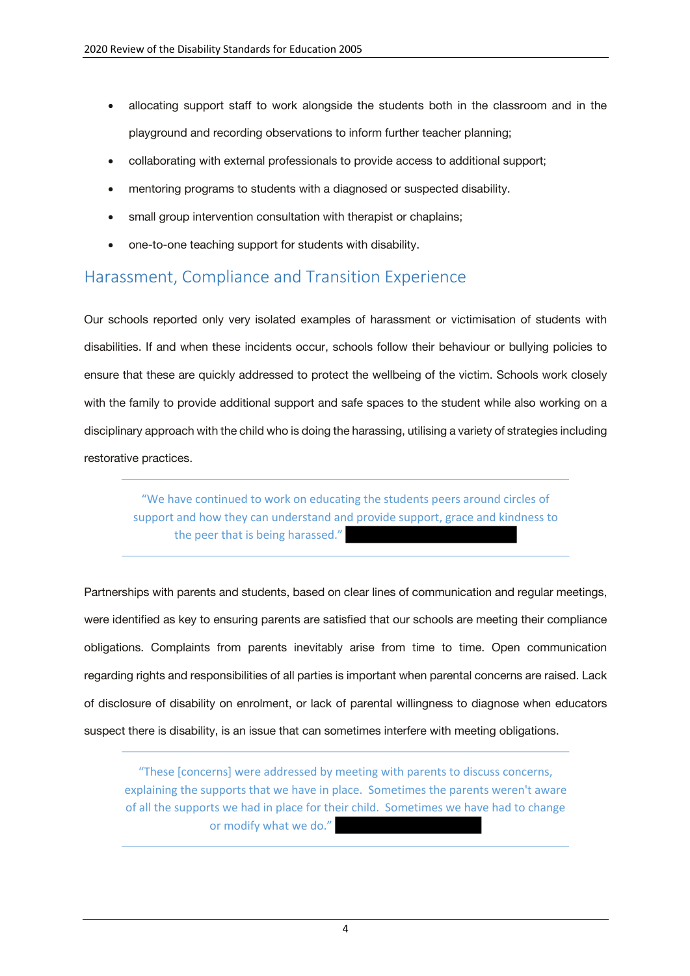- allocating support staff to work alongside the students both in the classroom and in the playground and recording observations to inform further teacher planning;
- collaborating with external professionals to provide access to additional support;
- mentoring programs to students with a diagnosed or suspected disability.
- small group intervention consultation with therapist or chaplains;
- one-to-one teaching support for students with disability.

## Harassment, Compliance and Transition Experience

Our schools reported only very isolated examples of harassment or victimisation of students with disabilities. If and when these incidents occur, schools follow their behaviour or bullying policies to ensure that these are quickly addressed to protect the wellbeing of the victim. Schools work closely with the family to provide additional support and safe spaces to the student while also working on a disciplinary approach with the child who is doing the harassing, utilising a variety of strategies including restorative practices.

"We have continued to work on educating the students peers around circles of support and how they can understand and provide support, grace and kindness to the peer that is being harassed."

Partnerships with parents and students, based on clear lines of communication and regular meetings, were identified as key to ensuring parents are satisfied that our schools are meeting their compliance obligations. Complaints from parents inevitably arise from time to time. Open communication regarding rights and responsibilities of all parties is important when parental concerns are raised. Lack of disclosure of disability on enrolment, or lack of parental willingness to diagnose when educators suspect there is disability, is an issue that can sometimes interfere with meeting obligations.

"These [concerns] were addressed by meeting with parents to discuss concerns, explaining the supports that we have in place. Sometimes the parents weren't aware of all the supports we had in place for their child. Sometimes we have had to change or modify what we do."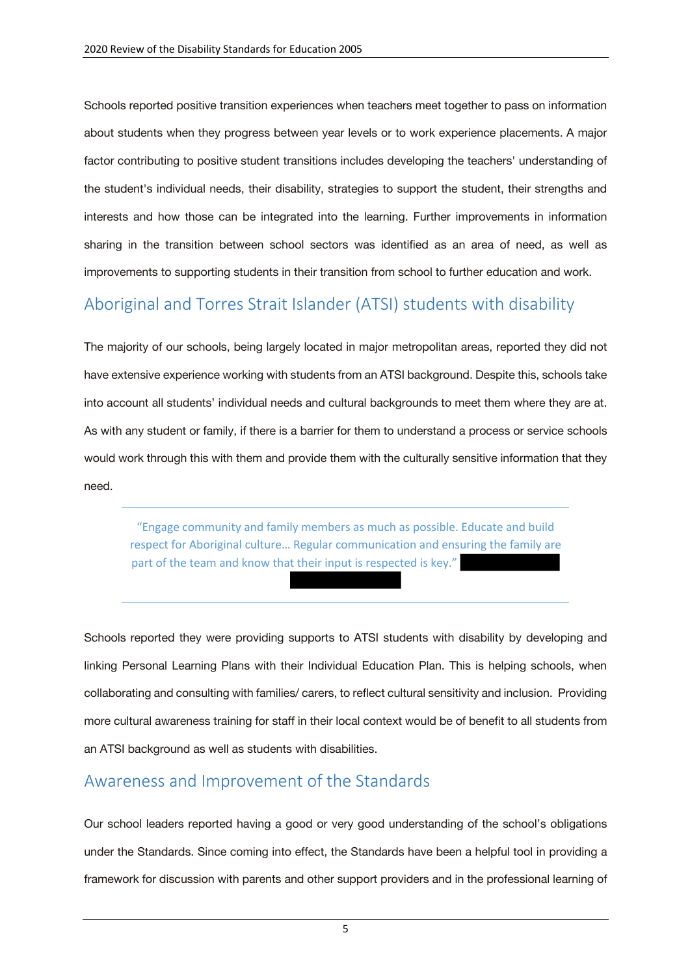Schools reported positive transition experiences when teachers meet together to pass on information about students when they progress between year levels or to work experience placements. A major factor contributing to positive student transitions includes developing the teachers' understanding of the student's individual needs, their disability, strategies to support the student, their strengths and interests and how those can be integrated into the learning. Further improvements in information sharing in the transition between school sectors was identified as an area of need, as well as improvements to supporting students in their transition from school to further education and work.

### Aboriginal and Torres Strait Islander (ATSI) students with disability

The majority of our schools, being largely located in major metropolitan areas, reported they did not have extensive experience working with students from an ATSI background. Despite this, schools take into account all students' individual needs and cultural backgrounds to meet them where they are at. As with any student or family, if there is a barrier for them to understand a process or service schools would work through this with them and provide them with the culturally sensitive information that they need.

"Engage community and family members as much as possible. Educate and build respect for Aboriginal culture… Regular communication and ensuring the family are part of the team and know that their input is respected is key."

Schools reported they were providing supports to ATSI students with disability by developing and linking Personal Learning Plans with their Individual Education Plan. This is helping schools, when collaborating and consulting with families/ carers, to reflect cultural sensitivity and inclusion. Providing more cultural awareness training for staff in their local context would be of benefit to all students from an ATSI background as well as students with disabilities.

### Awareness and Improvement of the Standards

Our school leaders reported having a good or very good understanding of the school's obligations under the Standards. Since coming into effect, the Standards have been a helpful tool in providing a framework for discussion with parents and other support providers and in the professional learning of

5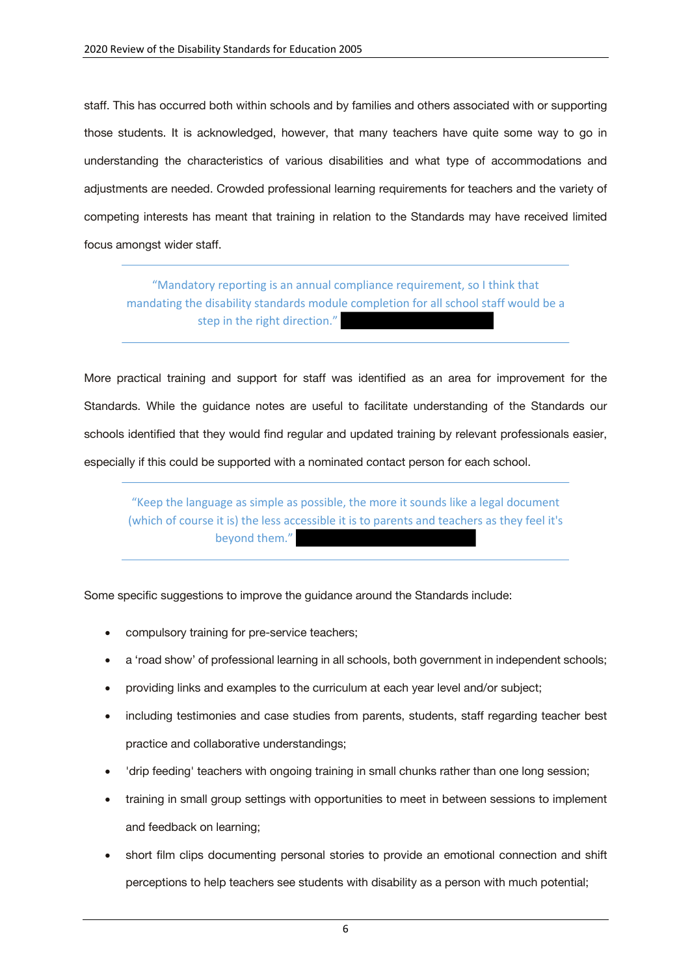staff. This has occurred both within schools and by families and others associated with or supporting those students. It is acknowledged, however, that many teachers have quite some way to go in understanding the characteristics of various disabilities and what type of accommodations and adjustments are needed. Crowded professional learning requirements for teachers and the variety of competing interests has meant that training in relation to the Standards may have received limited focus amongst wider staff.

"Mandatory reporting is an annual compliance requirement, so I think that mandating the disability standards module completion for all school staff would be a step in the right direction."

More practical training and support for staff was identified as an area for improvement for the Standards. While the guidance notes are useful to facilitate understanding of the Standards our schools identified that they would find regular and updated training by relevant professionals easier, especially if this could be supported with a nominated contact person for each school.

"Keep the language as simple as possible, the more it sounds like a legal document (which of course it is) the less accessible it is to parents and teachers as they feel it's beyond them."

Some specific suggestions to improve the guidance around the Standards include:

- compulsory training for pre-service teachers;
- a 'road show' of professional learning in all schools, both government in independent schools;
- providing links and examples to the curriculum at each year level and/or subject;
- including testimonies and case studies from parents, students, staff regarding teacher best practice and collaborative understandings;
- 'drip feeding' teachers with ongoing training in small chunks rather than one long session;
- training in small group settings with opportunities to meet in between sessions to implement and feedback on learning;
- short film clips documenting personal stories to provide an emotional connection and shift perceptions to help teachers see students with disability as a person with much potential;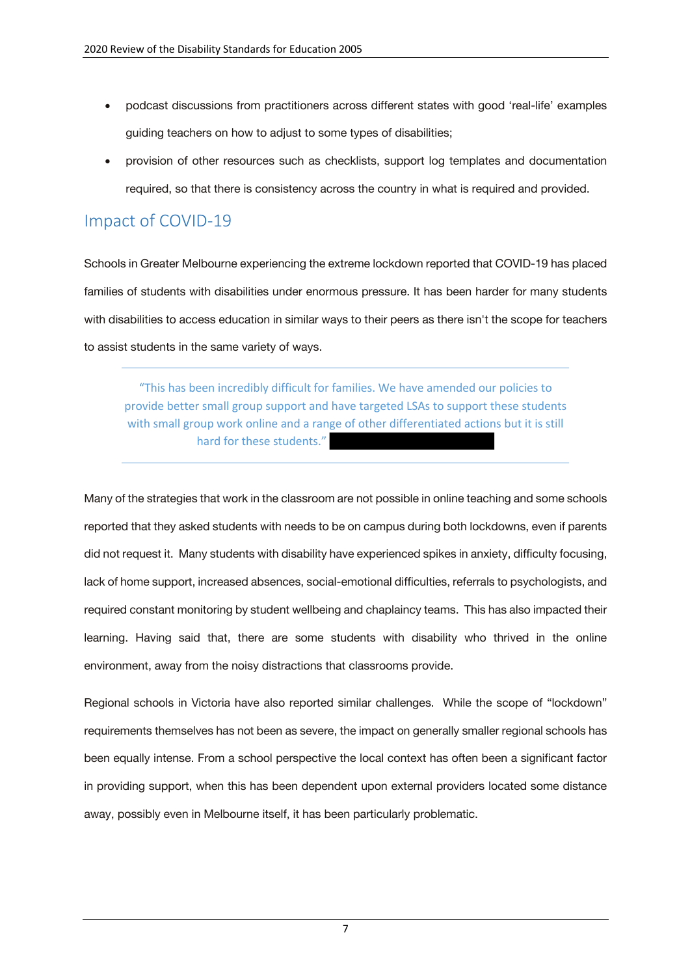- podcast discussions from practitioners across different states with good 'real-life' examples guiding teachers on how to adjust to some types of disabilities;
- provision of other resources such as checklists, support log templates and documentation required, so that there is consistency across the country in what is required and provided.

## Impact of COVID-19

Schools in Greater Melbourne experiencing the extreme lockdown reported that COVID-19 has placed families of students with disabilities under enormous pressure. It has been harder for many students with disabilities to access education in similar ways to their peers as there isn't the scope for teachers to assist students in the same variety of ways.

"This has been incredibly difficult for families. We have amended our policies to provide better small group support and have targeted LSAs to support these students with small group work online and a range of other differentiated actions but it is still hard for these students."

Many of the strategies that work in the classroom are not possible in online teaching and some schools reported that they asked students with needs to be on campus during both lockdowns, even if parents did not request it. Many students with disability have experienced spikes in anxiety, difficulty focusing, lack of home support, increased absences, social-emotional difficulties, referrals to psychologists, and required constant monitoring by student wellbeing and chaplaincy teams. This has also impacted their learning. Having said that, there are some students with disability who thrived in the online environment, away from the noisy distractions that classrooms provide.

Regional schools in Victoria have also reported similar challenges. While the scope of "lockdown" requirements themselves has not been as severe, the impact on generally smaller regional schools has been equally intense. From a school perspective the local context has often been a significant factor in providing support, when this has been dependent upon external providers located some distance away, possibly even in Melbourne itself, it has been particularly problematic.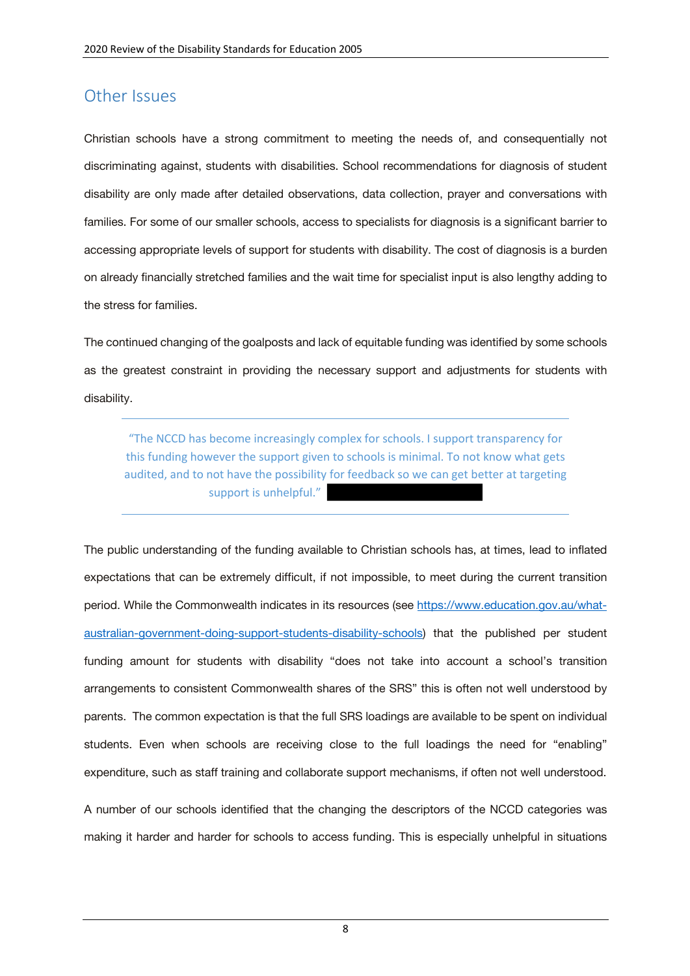#### Other Issues

Christian schools have a strong commitment to meeting the needs of, and consequentially not discriminating against, students with disabilities. School recommendations for diagnosis of student disability are only made after detailed observations, data collection, prayer and conversations with families. For some of our smaller schools, access to specialists for diagnosis is a significant barrier to accessing appropriate levels of support for students with disability. The cost of diagnosis is a burden on already financially stretched families and the wait time for specialist input is also lengthy adding to the stress for families.

The continued changing of the goalposts and lack of equitable funding was identified by some schools as the greatest constraint in providing the necessary support and adjustments for students with disability.

"The NCCD has become increasingly complex for schools. I support transparency for this funding however the support given to schools is minimal. To not know what gets audited, and to not have the possibility for feedback so we can get better at targeting support is unhelpful."

The public understanding of the funding available to Christian schools has, at times, lead to inflated expectations that can be extremely difficult, if not impossible, to meet during the current transition period. While the Commonwealth indicates in its resources (see https://www.education.gov.au/whataustralian-government-doing-support-students-disability-schools) that the published per student funding amount for students with disability "does not take into account a school's transition arrangements to consistent Commonwealth shares of the SRS" this is often not well understood by parents. The common expectation is that the full SRS loadings are available to be spent on individual students. Even when schools are receiving close to the full loadings the need for "enabling" expenditure, such as staff training and collaborate support mechanisms, if often not well understood.

A number of our schools identified that the changing the descriptors of the NCCD categories was making it harder and harder for schools to access funding. This is especially unhelpful in situations